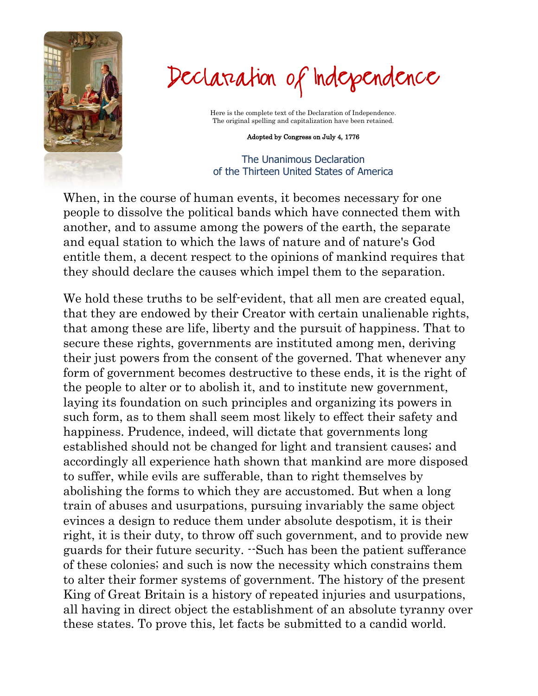

Declaration of Independence

Here is the complete text of the Declaration of Independence. The original spelling and capitalization have been retained.

## Adopted by Congress on July 4, 1776

The Unanimous Declaration of the Thirteen United States of America

When, in the course of human events, it becomes necessary for one people to dissolve the political bands which have connected them with another, and to assume among the powers of the earth, the separate and equal station to which the laws of nature and of nature's God entitle them, a decent respect to the opinions of mankind requires that they should declare the causes which impel them to the separation.

We hold these truths to be self-evident, that all men are created equal, that they are endowed by their Creator with certain unalienable rights, that among these are life, liberty and the pursuit of happiness. That to secure these rights, governments are instituted among men, deriving their just powers from the consent of the governed. That whenever any form of government becomes destructive to these ends, it is the right of the people to alter or to abolish it, and to institute new government, laying its foundation on such principles and organizing its powers in such form, as to them shall seem most likely to effect their safety and happiness. Prudence, indeed, will dictate that governments long established should not be changed for light and transient causes; and accordingly all experience hath shown that mankind are more disposed to suffer, while evils are sufferable, than to right themselves by abolishing the forms to which they are accustomed. But when a long train of abuses and usurpations, pursuing invariably the same object evinces a design to reduce them under absolute despotism, it is their right, it is their duty, to throw off such government, and to provide new guards for their future security. --Such has been the patient sufferance of these colonies; and such is now the necessity which constrains them to alter their former systems of government. The history of the present King of Great Britain is a history of repeated injuries and usurpations, all having in direct object the establishment of an absolute tyranny over these states. To prove this, let facts be submitted to a candid world.